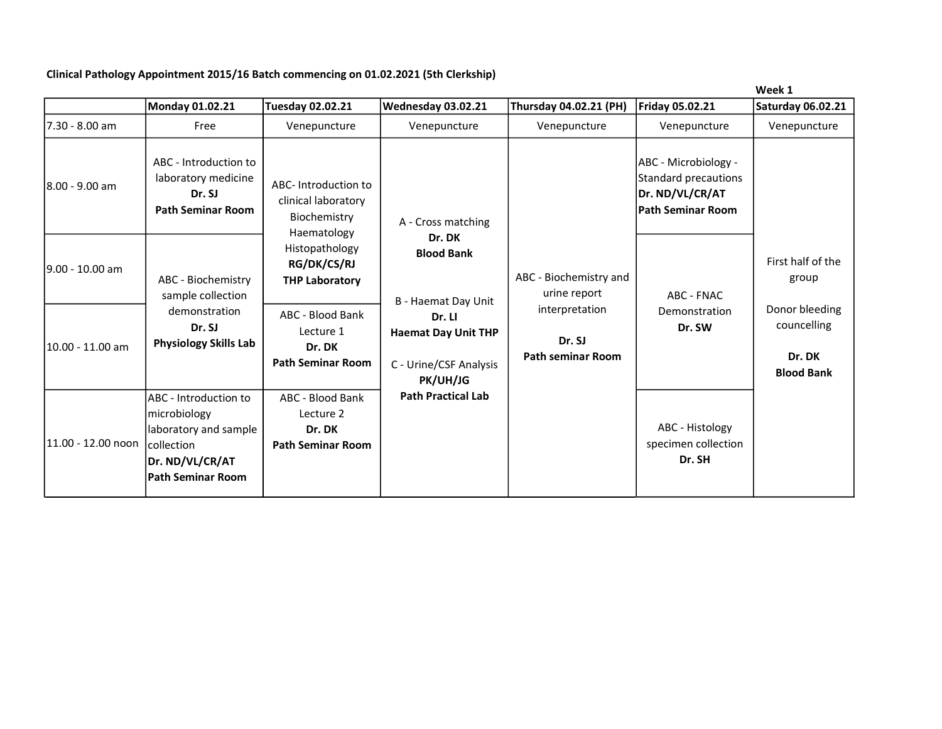Clinical Pathology Appointment 2015/16 Batch commencing on 01.02.2021 (5th Clerkship)

|                    |                                                                                                                                    |                                                                           |                                                                            |                                                      |                                                                                                    | week 1                                                       |
|--------------------|------------------------------------------------------------------------------------------------------------------------------------|---------------------------------------------------------------------------|----------------------------------------------------------------------------|------------------------------------------------------|----------------------------------------------------------------------------------------------------|--------------------------------------------------------------|
|                    | Monday 01.02.21                                                                                                                    | Tuesday 02.02.21                                                          | Wednesday 03.02.21                                                         | Thursday 04.02.21 (PH)                               | Friday 05.02.21                                                                                    | <b>Saturday 06.02.21</b>                                     |
| 7.30 - 8.00 am     | Free                                                                                                                               | Venepuncture                                                              | Venepuncture                                                               | Venepuncture                                         | Venepuncture                                                                                       | Venepuncture                                                 |
| l8.00 - 9.00 am    | ABC - Introduction to<br>laboratory medicine<br>Dr. SJ<br><b>Path Seminar Room</b>                                                 | ABC-Introduction to<br>clinical laboratory<br>Biochemistry<br>Haematology | A - Cross matching                                                         |                                                      | ABC - Microbiology -<br><b>Standard precautions</b><br>Dr. ND/VL/CR/AT<br><b>Path Seminar Room</b> |                                                              |
| l9.00 - 10.00 am   | ABC - Biochemistry<br>sample collection                                                                                            | Histopathology<br><b>RG/DK/CS/RJ</b><br><b>THP Laboratory</b>             | Dr. DK<br><b>Blood Bank</b><br>B - Haemat Day Unit                         | ABC - Biochemistry and<br>urine report               | ABC - FNAC                                                                                         | First half of the<br>group                                   |
| 10.00 - 11.00 am   | demonstration<br>Dr. SJ<br><b>Physiology Skills Lab</b>                                                                            | ABC - Blood Bank<br>Lecture 1<br>Dr. DK<br><b>Path Seminar Room</b>       | Dr. Ll<br><b>Haemat Day Unit THP</b><br>C - Urine/CSF Analysis<br>PK/UH/JG | interpretation<br>Dr. SJ<br><b>Path seminar Room</b> | Demonstration<br>Dr. SW                                                                            | Donor bleeding<br>councelling<br>Dr. DK<br><b>Blood Bank</b> |
| 11.00 - 12.00 noon | ABC - Introduction to<br>microbiology<br>laboratory and sample<br><b>collection</b><br>Dr. ND/VL/CR/AT<br><b>Path Seminar Room</b> | ABC - Blood Bank<br>Lecture 2<br>Dr. DK<br><b>Path Seminar Room</b>       | <b>Path Practical Lab</b>                                                  |                                                      | ABC - Histology<br>specimen collection<br>Dr. SH                                                   |                                                              |

Week 1